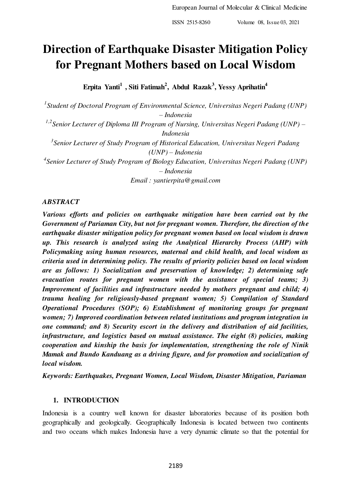# **Direction of Earthquake Disaster Mitigation Policy for Pregnant Mothers based on Local Wisdom**

**Erpita Yanti<sup>1</sup>, Siti Fatimah<sup>2</sup> , Abdul Razak<sup>3</sup> , Yessy Aprihatin<sup>4</sup>**

*1 Student of Doctoral Program of Environmental Science, Universitas Negeri Padang (UNP) – Indonesia*  <sup>1,2</sup> Senior Lecturer of Diploma III Program of Nursing, Universitas Negeri Padang (UNP) – *Indonesia* 

*3 Senior Lecturer of Study Program of Historical Education, Universitas Negeri Padang (UNP) – Indonesia* 

*4 Senior Lecturer of Study Program of Biology Education, Universitas Negeri Padang (UNP) – Indonesia* 

*Email : yantierpita@gmail.com* 

## *ABSTRACT*

*Various efforts and policies on earthquake mitigation have been carried out by the Government of Pariaman City, but not for pregnant women. Therefore, the direction of the earthquake disaster mitigation policy for pregnant women based on local wisdom is drawn up. This research is analyzed using the Analytical Hierarchy Process (AHP) with Policymaking using human resources, maternal and child health, and local wisdom as criteria used in determining policy. The results of priority policies based on local wisdom are as follows: 1) Socialization and preservation of knowledge; 2) determining safe evacuation routes for pregnant women with the assistance of special teams; 3) Improvement of facilities and infrastructure needed by mothers pregnant and child; 4) trauma healing for religiously-based pregnant women; 5) Compilation of Standard Operational Procedures (SOP); 6) Establishment of monitoring groups for pregnant women; 7) Improved coordination between related institutions and program integration in one command; and 8) Security escort in the delivery and distribution of aid facilities, infrastructure, and logistics based on mutual assistance. The eight (8) policies, making cooperation and kinship the basis for implementation, strengthening the role of Ninik Mamak and Bundo Kanduang as a driving figure, and for promotion and socialization of local wisdom.* 

*Keywords: Earthquakes, Pregnant Women, Local Wisdom, Disaster Mitigation, Pariaman* 

## **1. INTRODUCTION**

Indonesia is a country well known for disaster laboratories because of its position both geographically and geologically. Geographically Indonesia is located between two continents and two oceans which makes Indonesia have a very dynamic climate so that the potential for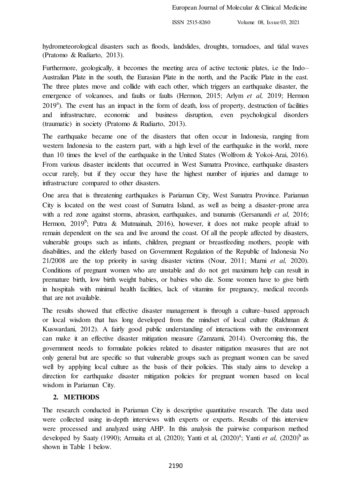hydrometeorological disasters such as floods, landslides, droughts, tornadoes, and tidal waves (Pratomo & Rudiarto, 2013).

Furthermore, geologically, it becomes the meeting area of active tectonic plates, i.e the Indo– Australian Plate in the south, the Eurasian Plate in the north, and the Pacific Plate in the east. The three plates move and collide with each other, which triggers an earthquake disaster, the emergence of volcanoes, and faults or faults (Hermon, 2015; Arlym *et al,* 2019; Hermon 2019<sup>a</sup>). The event has an impact in the form of death, loss of property, destruction of facilities and infrastructure, economic and business disruption, even psychological disorders (traumatic) in society (Pratomo & Rudiarto, 2013).

The earthquake became one of the disasters that often occur in Indonesia, ranging from western Indonesia to the eastern part, with a high level of the earthquake in the world, more than 10 times the level of the earthquake in the United States (Wolfrom & Yokoi-Arai, 2016). From various disaster incidents that occurred in West Sumatra Province, earthquake disasters occur rarely, but if they occur they have the highest number of injuries and damage to infrastructure compared to other disasters.

One area that is threatening earthquakes is Pariaman City, West Sumatra Province. Pariaman City is located on the west coast of Sumatra Island, as well as being a disaster-prone area with a red zone against storms, abrasion, earthquakes, and tsunamis (Gersanandi *et al,* 2016; Hermon, 2019<sup>b</sup>; Putra & Mutmainah, 2016), however, it does not make people afraid to remain dependent on the sea and live around the coast. Of all the people affected by disasters, vulnerable groups such as infants, children, pregnant or breastfeeding mothers, people with disabilities, and the elderly based on Government Regulation of the Republic of Indonesia No 21/2008 are the top priority in saving disaster victims (Nour, 2011; Marni *et al,* 2020). Conditions of pregnant women who are unstable and do not get maximum help can result in premature birth, low birth weight babies, or babies who die. Some women have to give birth in hospitals with minimal health facilities, lack of vitamins for pregnancy, medical records that are not available.

The results showed that effective disaster management is through a culture–based approach or local wisdom that has long developed from the mindset of local culture (Rakhman & Kuswardani, 2012). A fairly good public understanding of interactions with the environment can make it an effective disaster mitigation measure (Zamzami, 2014). Overcoming this, the government needs to formulate policies related to disaster mitigation measures that are not only general but are specific so that vulnerable groups such as pregnant women can be saved well by applying local culture as the basis of their policies. This study aims to develop a direction for earthquake disaster mitigation policies for pregnant women based on local wisdom in Pariaman City.

## **2. METHODS**

The research conducted in Pariaman City is descriptive quantitative research. The data used were collected using in-depth interviews with experts or experts. Results of this interview were processed and analyzed using AHP. In this analysis the pairwise comparison method developed by Saaty (1990); Armaita et al, (2020); Yanti et al, (2020)<sup>a</sup>; Yanti *et al*, (2020)<sup>b</sup> as shown in Table 1 below.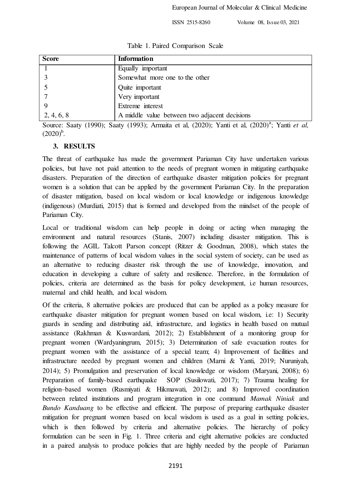|  |  | Table 1. Paired Comparison Scale |  |
|--|--|----------------------------------|--|
|--|--|----------------------------------|--|

| <b>Score</b> | <b>Information</b>                            |  |
|--------------|-----------------------------------------------|--|
|              | Equally important                             |  |
|              | Somewhat more one to the other                |  |
|              | Quite important                               |  |
|              | Very important                                |  |
|              | Extreme interest                              |  |
| 2, 4, 6, 8   | A middle value between two adjacent decisions |  |

Source: Saaty (1990); Saaty (1993); Armaita et al, (2020); Yanti et al, (2020)<sup>a</sup>; Yanti *et al*,  $(2020)^{b}$ .

## **3. RESULTS**

The threat of earthquake has made the government Pariaman City have undertaken various policies, but have not paid attention to the needs of pregnant women in mitigating earthquake disasters. Preparation of the direction of earthquake disaster mitigation policies for pregnant women is a solution that can be applied by the government Pariaman City. In the preparation of disaster mitigation, based on local wisdom or local knowledge or indigenous knowledge (indigenous) (Murdiati, 2015) that is formed and developed from the mindset of the people of Pariaman City.

Local or traditional wisdom can help people in doing or acting when managing the environment and natural resources (Stanis, 2007) including disaster mitigation. This is following the AGIL Talcott Parson concept (Ritzer & Goodman, 2008), which states the maintenance of patterns of local wisdom values in the social system of society, can be used as an alternative to reducing disaster risk through the use of knowledge, innovation, and education in developing a culture of safety and resilience. Therefore, in the formulation of policies, criteria are determined as the basis for policy development, i.e human resources, maternal and child health, and local wisdom.

Of the criteria, 8 alternative policies are produced that can be applied as a policy measure for earthquake disaster mitigation for pregnant women based on local wisdom, i.e: 1) Security guards in sending and distributing aid, infrastructure, and logistics in health based on mutual assistance (Rakhman & Kuswardani, 2012); 2) Establishment of a monitoring group for pregnant women (Wardyaningrum, 2015); 3) Determination of safe evacuation routes for pregnant women with the assistance of a special team; 4) Improvement of facilities and infrastructure needed by pregnant women and children (Marni & Yanti, 2019; Nuruniyah, 2014); 5) Promulgation and preservation of local knowledge or wisdom (Maryani, 2008); 6) Preparation of family-based earthquake SOP (Susilowati, 2017); 7) Trauma healing for religion–based women (Rusmiyati & Hikmawati, 2012); and 8) Improved coordination between related institutions and program integration in one command *Mamak Niniak* and *Bundo Kanduang* to be effective and efficient. The purpose of preparing earthquake disaster mitigation for pregnant women based on local wisdom is used as a goal in setting policies, which is then followed by criteria and alternative policies. The hierarchy of policy formulation can be seen in Fig. 1. Three criteria and eight alternative policies are conducted in a paired analysis to produce policies that are highly needed by the people of Pariaman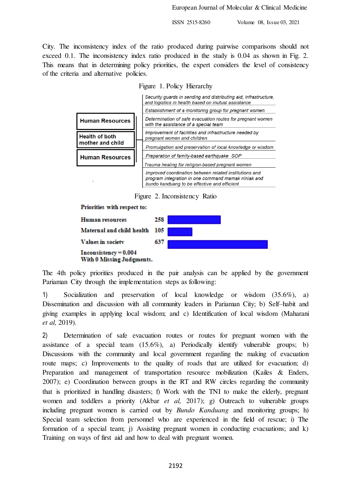City. The inconsistency index of the ratio produced during pairwise comparisons should not exceed 0.1. The inconsistency index ratio produced in the study is 0.04 as shown in Fig. 2. This means that in determining policy priorities, the expert considers the level of consistency of the criteria and alternative policies.

Figure 1. Policy Hierarchy

|                        | Security guards in sending and distributing aid, infrastructure,<br>and logistics in health based on mutual assistance                                        |
|------------------------|---------------------------------------------------------------------------------------------------------------------------------------------------------------|
|                        | Establishment of a monitoring group for pregnant women                                                                                                        |
| <b>Human Resources</b> | Determination of safe evacuation routes for pregnant women<br>with the assistance of a special team                                                           |
| <b>Health of both</b>  | Improvement of facilities and infrastructure needed by<br>pregnant women and children                                                                         |
| mother and child       | Promulgation and preservation of local knowledge or wisdom                                                                                                    |
| <b>Human Resources</b> | Preparation of family-based earthquake SOP                                                                                                                    |
|                        | Trauma healing for religion-based pregnant women                                                                                                              |
|                        | Improved coordination between related institutions and<br>program integration in one command mamak niniak and<br>bundo kanduang to be effective and efficient |

Figure 2. Inconsistency Ratio



The 4th policy priorities produced in the pair analysis can be applied by the government Pariaman City through the implementation steps as following:

1) Socialization and preservation of local knowledge or wisdom (35.6%), a) Dissemination and discussion with all community leaders in Pariaman City; b) Self–habit and giving examples in applying local wisdom; and c) Identification of local wisdom (Maharani *et al,* 2019).

2) Determination of safe evacuation routes or routes for pregnant women with the assistance of a special team (15.6%), a) Periodically identify vulnerable groups; b) Discussions with the community and local government regarding the making of evacuation route maps; c) Improvements to the quality of roads that are utilized for evacuation; d) Preparation and management of transportation resource mobilization (Kailes & Enders, 2007); e) Coordination between groups in the RT and RW circles regarding the community that is prioritized in handling disasters; f) Work with the TNI to make the elderly, pregnant women and toddlers a priority (Akbar *et al,* 2017); g) Outreach to vulnerable groups including pregnant women is carried out by *Bundo Kanduang* and monitoring groups; h) Special team selection from personnel who are experienced in the field of rescue; i) The formation of a special team; j) Assisting pregnant women in conducting evacuations; and k) Training on ways of first aid and how to deal with pregnant women.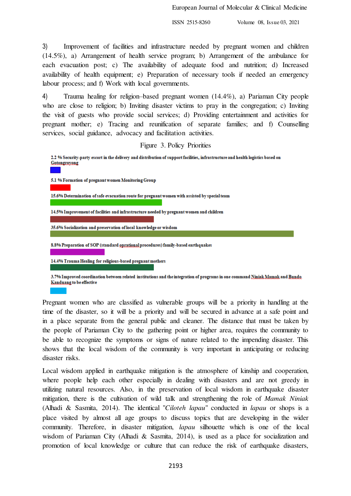3) Improvement of facilities and infrastructure needed by pregnant women and children (14.5%), a) Arrangement of health service program; b) Arrangement of the ambulance for each evacuation post; c) The availability of adequate food and nutrition; d) Increased availability of health equipment; e) Preparation of necessary tools if needed an emergency labour process; and f) Work with local governments.

4) Trauma healing for religion–based pregnant women (14.4%), a) Pariaman City people who are close to religion; b) Inviting disaster victims to pray in the congregation; c) Inviting the visit of guests who provide social services; d) Providing entertainment and activities for pregnant mother; e) Tracing and reunification of separate families; and f) Counselling services, social guidance, advocacy and facilitation activities.

Figure 3. Policy Priorities

2.2 % Security-party escort in the delivery and distribution of support facilities, infrastructure and health logistics based on Gotongroyong 5.1 % Formation of pregnant women Monitoring Group 15.6% Determination of safe evacuation route for pregnant women with assisted by special team 14.5% Improvement of facilities and infrastructure needed by pregnant women and children 35.6% Socialization and preservation of local knowledge or wisdom 8.8% Preparation of SOP (standard oprational procedures) family-based earthquakes 14.4% Trauma Healing for religious-based pregnant mothers

3.7% Improved coordination between related institutions and the integration of programs in one command Niniak Mamak and Bundo Kanduang to be effective

Pregnant women who are classified as vulnerable groups will be a priority in handling at the time of the disaster, so it will be a priority and will be secured in advance at a safe point and in a place separate from the general public and cleaner. The distance that must be taken by the people of Pariaman City to the gathering point or higher area, requires the community to be able to recognize the symptoms or signs of nature related to the impending disaster. This shows that the local wisdom of the community is very important in anticipating or reducing disaster risks.

Local wisdom applied in earthquake mitigation is the atmosphere of kinship and cooperation, where people help each other especially in dealing with disasters and are not greedy in utilizing natural resources. Also, in the preservation of local wisdom in earthquake disaster mitigation, there is the cultivation of wild talk and strengthening the role of *Mamak Niniak*  (Alhadi & Sasmita, 2014). The identical "*Ciloteh lapau*" conducted in *lapau* or shops is a place visited by almost all age groups to discuss topics that are developing in the wider community. Therefore, in disaster mitigation, *lapau* silhouette which is one of the local wisdom of Pariaman City (Alhadi & Sasmita, 2014), is used as a place for socialization and promotion of local knowledge or culture that can reduce the risk of earthquake disasters,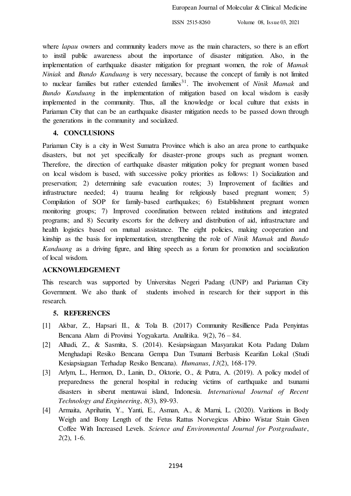where *lapau* owners and community leaders move as the main characters, so there is an effort to instil public awareness about the importance of disaster mitigation. Also, in the implementation of earthquake disaster mitigation for pregnant women, the role of *Mamak Niniak* and *Bundo Kanduang* is very necessary, because the concept of family is not limited to nuclear families but rather extended families<sup>31</sup>. The involvement of *Ninik Mamak* and *Bundo Kanduang* in the implementation of mitigation based on local wisdom is easily implemented in the community. Thus, all the knowledge or local culture that exists in Pariaman City that can be an earthquake disaster mitigation needs to be passed down through the generations in the community and socialized.

## **4. CONCLUSIONS**

Pariaman City is a city in West Sumatra Province which is also an area prone to earthquake disasters, but not yet specifically for disaster-prone groups such as pregnant women. Therefore, the direction of earthquake disaster mitigation policy for pregnant women based on local wisdom is based, with successive policy priorities as follows: 1) Socialization and preservation; 2) determining safe evacuation routes; 3) Improvement of facilities and infrastructure needed; 4) trauma healing for religiously based pregnant women; 5) Compilation of SOP for family-based earthquakes; 6) Establishment pregnant women monitoring groups; 7) Improved coordination between related institutions and integrated programs; and 8) Security escorts for the delivery and distribution of aid, infrastructure and health logistics based on mutual assistance. The eight policies, making cooperation and kinship as the basis for implementation, strengthening the role of *Ninik Mamak* and *Bundo Kanduang* as a driving figure, and lilting speech as a forum for promotion and socialization of local wisdom.

#### **ACKNOWLEDGEMENT**

This research was supported by Universitas Negeri Padang (UNP) and Pariaman City Government. We also thank of students involved in research for their support in this research.

#### **5. REFERENCES**

- [1] Akbar, Z., Hapsari II., & Tola B. (2017) Community Resillience Pada Penyintas Bencana Alam di Provinsi Yogyakarta. Analitika. 9(2), 76 – 84.
- [2] Alhadi, Z., & Sasmita, S. (2014). Kesiapsiagaan Masyarakat Kota Padang Dalam Menghadapi Resiko Bencana Gempa Dan Tsunami Berbasis Kearifan Lokal (Studi Kesiapsiagaan Terhadap Resiko Bencana). *Humanus*, *13*(2), 168-179.
- [3] Arlym, L., Hermon, D., Lanin, D., Oktorie, O., & Putra, A. (2019). A policy model of preparedness the general hospital in reducing victims of earthquake and tsunami disasters in siberut mentawai island, Indonesia. *International Journal of Recent Technology and Engineering*, *8*(3), 89-93.
- [4] Armaita, Aprihatin, Y., Yanti, E., Asman, A., & Marni, L. (2020). Varitions in Body Weigh and Bony Length of the Fetus Rattus Norvegicus Albino Wistar Stain Given Coffee With Increased Levels. *Science and Environmental Journal for Postgraduate*, *2*(2), 1-6.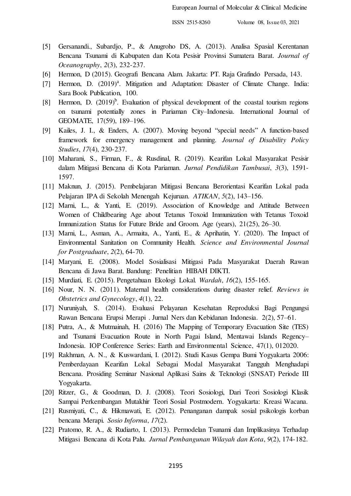- [5] Gersanandi., Subardjo, P., & Anugroho DS, A. (2013). Analisa Spasial Kerentanan Bencana Tsunami di Kabupaten dan Kota Pesisir Provinsi Sumatera Barat. *Journal of Oceanography*, *2*(3), 232-237.
- [6] Hermon, D (2015). Geografi Bencana Alam. Jakarta: PT. Raja Grafindo Persada, 143.
- [7] Hermon, D. (2019)<sup>a</sup>. Mitigation and Adaptation: Disaster of Climate Change. India: Sara Book Publication, 100.
- [8] Hermon, D.  $(2019)^b$ . Evaluation of physical development of the coastal tourism regions on tsunami potentially zones in Pariaman City–Indonesia. International Journal of GEOMATE, 17(59), 189–196.
- [9] Kailes, J. I., & Enders, A. (2007). Moving beyond "special needs" A function-based framework for emergency management and planning. *Journal of Disability Policy Studies*, *17*(4), 230-237.
- [10] Maharani, S., Firman, F., & Rusdinal, R. (2019). Kearifan Lokal Masyarakat Pesisir dalam Mitigasi Bencana di Kota Pariaman. *Jurnal Pendidikan Tambusai*, *3*(3), 1591- 1597.
- [11] Maknun, J. (2015). Pembelajaran Mitigasi Bencana Berorientasi Kearifan Lokal pada Pelajaran IPA di Sekolah Menengah Kejuruan. *ATIKAN*, *5*(2), 143–156.
- [12] Marni, L., & Yanti, E. (2019). Association of Knowledge and Attitude Between Women of Childbearing Age about Tetanus Toxoid Immunization with Tetanus Toxoid Immunization Status for Future Bride and Groom. Age (years), 21(25), 26–30.
- [13] Marni, L., Asman, A., Armaita, A., Yanti, E., & Aprihatin, Y. (2020). The Impact of Environmental Sanitation on Community Health. *Science and Environmental Journal for Postgraduate*, *2*(2), 64-70.
- [14] Maryani, E. (2008). Model Sosialisasi Mitigasi Pada Masyarakat Daerah Rawan Bencana di Jawa Barat. Bandung: Penelitian HIBAH DIKTI.
- [15] Murdiati, E. (2015). Pengetahuan Ekologi Lokal. *Wardah*, *16*(2), 155-165.
- [16] Nour, N. N. (2011). Maternal health considerations during disaster relief. *Reviews in Obstetrics and Gynecology*, *4*(1), 22.
- [17] Nuruniyah, S. (2014). Evaluasi Pelayanan Kesehatan Reproduksi Bagi Pengungsi Rawan Bencana Erupsi Merapi . Jurnal Ners dan Kebidanan Indonesia. 2(2), 57–61.
- [18] Putra, A., & Mutmainah, H. (2016) The Mapping of Temporary Evacuation Site (TES) and Tsunami Evacuation Route in North Pagai Island, Mentawai Islands Regency– Indonesia. IOP Conference Series: Earth and Environmental Science, 47(1), 012020.
- [19] Rakhman, A. N., & Kuswardani, I. (2012). Studi Kasus Gempa Bumi Yogyakarta 2006: Pemberdayaan Kearifan Lokal Sebagai Modal Masyarakat Tangguh Menghadapi Bencana. Prosiding Seminar Nasional Aplikasi Sains & Teknologi (SNSAT) Periode III Yogyakarta.
- [20] Ritzer, G., & Goodman, D. J. (2008). Teori Sosiologi, Dari Teori Sosiologi Klasik Sampai Perkembangan Mutakhir Teori Sosial Postmodern. Yogyakarta: Kreasi Wacana.
- [21] Rusmiyati, C., & Hikmawati, E. (2012). Penanganan dampak sosial psikologis korban bencana Merapi. *Sosio Informa*, *17*(2).
- [22] Pratomo, R. A., & Rudiarto, I. (2013). Permodelan Tsunami dan Implikasinya Terhadap Mitigasi Bencana di Kota Palu. *Jurnal Pembangunan Wilayah dan Kota*, *9*(2), 174-182.